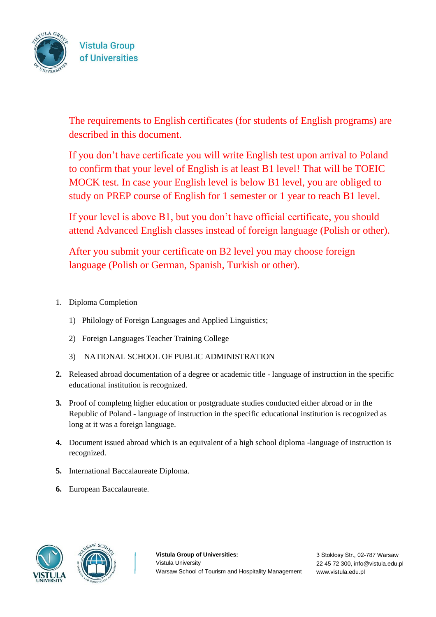

The requirements to English certificates (for students of English programs) are described in this document.

If you don't have certificate you will write English test upon arrival to Poland to confirm that your level of English is at least B1 level! That will be TOEIC MOCK test. In case your English level is below B1 level, you are obliged to study on PREP course of English for 1 semester or 1 year to reach B1 level.

If your level is above B1, but you don't have official certificate, you should attend Advanced English classes instead of foreign language (Polish or other).

After you submit your certificate on B2 level you may choose foreign language (Polish or German, Spanish, Turkish or other).

- 1. Diploma Completion
	- 1) Philology of Foreign Languages and Applied Linguistics;
	- 2) Foreign Languages Teacher Training College
	- 3) NATIONAL SCHOOL OF PUBLIC ADMINISTRATION
- **2.** Released abroad documentation of a degree or academic title language of instruction in the specific educational institution is recognized.
- **3.** Proof of completng higher education or postgraduate studies conducted either abroad or in the Republic of Poland - language of instruction in the specific educational institution is recognized as long at it was a foreign language.
- **4.** Document issued abroad which is an equivalent of a high school diploma -language of instruction is recognized.
- **5.** International Baccalaureate Diploma.
- **6.** European Baccalaureate.





**Vistula Group of Universities:**  Vistula University Warsaw School of Tourism and Hospitality Management

3 Stokłosy Str., 02-787 Warsaw 22 45 72 300, info@vistula.edu.pl www.vistula.edu.pl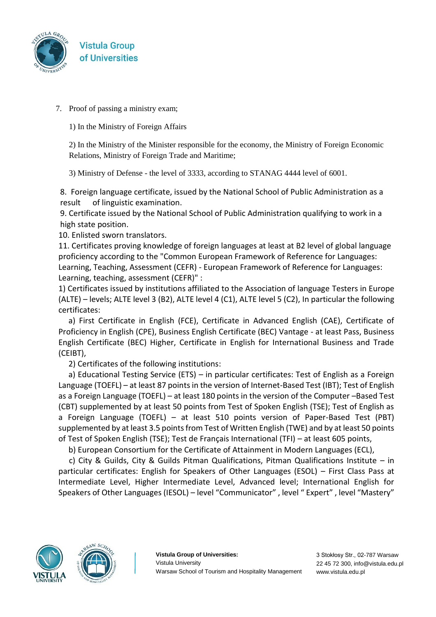

7. Proof of passing a ministry exam;

1) In the Ministry of Foreign Affairs

2) In the Ministry of the Minister responsible for the economy, the Ministry of Foreign Economic Relations, Ministry of Foreign Trade and Maritime;

3) Ministry of Defense - the level of 3333, according to STANAG 4444 level of 6001.

8. Foreign language certificate, issued by the National School of Public Administration as a result of linguistic examination.

9. Certificate issued by the National School of Public Administration qualifying to work in a high state position.

10. Enlisted sworn translators.

11. Certificates proving knowledge of foreign languages at least at B2 level of global language proficiency according to the "Common European Framework of Reference for Languages: Learning, Teaching, Assessment (CEFR) - European Framework of Reference for Languages: Learning, teaching, assessment (CEFR)" :

1) Certificates issued by institutions affiliated to the Association of language Testers in Europe (ALTE) – levels; ALTE level 3 (B2), ALTE level 4 (C1), ALTE level 5 (C2), In particular the following certificates:

a) First Certificate in English (FCE), Certificate in Advanced English (CAE), Certificate of Proficiency in English (CPE), Business English Certificate (BEC) Vantage - at least Pass, Business English Certificate (BEC) Higher, Certificate in English for International Business and Trade (CEIBT),

2) Certificates of the following institutions:

a) Educational Testing Service (ETS) – in particular certificates: Test of English as a Foreign Language (TOEFL) – at least 87 points in the version of Internet-Based Test (IBT); Test of English as a Foreign Language (TOEFL) – at least 180 points in the version of the Computer –Based Test (CBT) supplemented by at least 50 points from Test of Spoken English (TSE); Test of English as a Foreign Language (TOEFL) – at least 510 points version of Paper-Based Test (PBT) supplemented by at least 3.5 points from Test of Written English (TWE) and by at least 50 points of Test of Spoken English (TSE); Test de Français International (TFI) – at least 605 points,

b) European Consortium for the Certificate of Attainment in Modern Languages (ECL),

c) City & Guilds, City & Guilds Pitman Qualifications, Pitman Qualifications Institute – in particular certificates: English for Speakers of Other Languages (ESOL) – First Class Pass at Intermediate Level, Higher Intermediate Level, Advanced level; International English for Speakers of Other Languages (IESOL) – level "Communicator" , level " Expert" , level "Mastery"





**Vistula Group of Universities:**  Vistula University Warsaw School of Tourism and Hospitality Management

3 Stokłosy Str., 02-787 Warsaw 22 45 72 300, info@vistula.edu.pl www.vistula.edu.pl